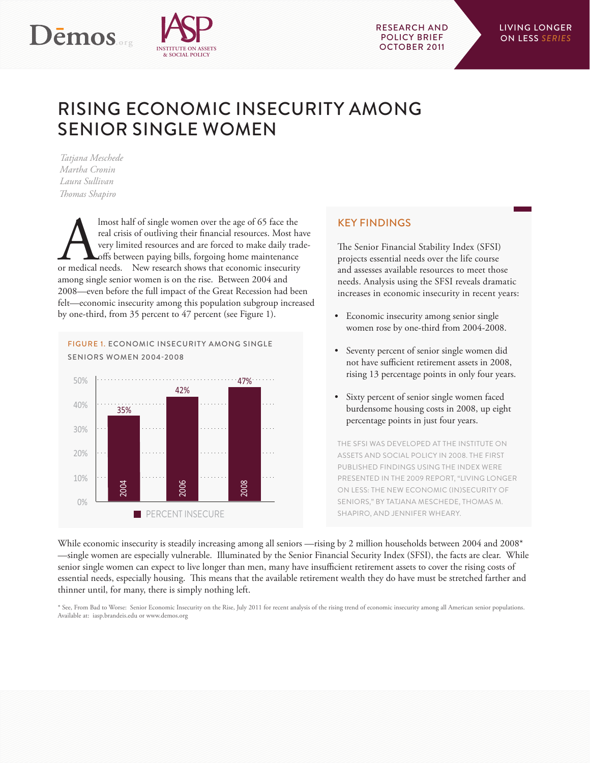



# RISING ECONOMIC INSECURITY AMONG SENIOR SINGLE WOMEN

*Tatjana Meschede Martha Cronin Laura Sullivan Thomas Shapiro*

Almost half of single women over the age of 65 face the real crisis of outliving their financial resources. Most have very limited resources and are forced to make daily trad offs between paying bills, forgoing home mainte real crisis of outliving their financial resources. Most have very limited resources and are forced to make daily tradeoffs between paying bills, forgoing home maintenance among single senior women is on the rise. Between 2004 and 2008—even before the full impact of the Great Recession had been felt—economic insecurity among this population subgroup increased by one-third, from 35 percent to 47 percent (see Figure 1).

FIGURE 1. ECONOMIC INSECURITY AMONG SINGLE SENIORS WOMEN 2004-2008



# KEY FINDINGS

The Senior Financial Stability Index (SFSI) projects essential needs over the life course and assesses available resources to meet those needs. Analysis using the SFSI reveals dramatic increases in economic insecurity in recent years:

- • Economic insecurity among senior single women rose by one-third from 2004-2008.
- • Seventy percent of senior single women did not have sufficient retirement assets in 2008, rising 13 percentage points in only four years.
- Sixty percent of senior single women faced burdensome housing costs in 2008, up eight percentage points in just four years.

THE SFSI WAS DEVELOPED AT THE INSTITUTE ON ASSETS AND SOCIAL POLICY IN 2008. THE FIRST PUBLISHED FINDINGS USING THE INDEX WERE PRESENTED IN THE 2009 REPORT, "LIVING LONGER ON LESS: THE NEW ECONOMIC (IN)SECURITY OF SENIORS," BY TATJANA MESCHEDE, THOMAS M. SHAPIRO, AND JENNIFER WHEARY.

While economic insecurity is steadily increasing among all seniors —rising by 2 million households between 2004 and 2008\* —single women are especially vulnerable. Illuminated by the Senior Financial Security Index (SFSI), the facts are clear. While senior single women can expect to live longer than men, many have insufficient retirement assets to cover the rising costs of essential needs, especially housing. This means that the available retirement wealth they do have must be stretched farther and thinner until, for many, there is simply nothing left.

\* See, From Bad to Worse: Senior Economic Insecurity on the Rise, July 2011 for recent analysis of the rising trend of economic insecurity among all American senior populations. Available at: iasp.brandeis.edu or www.demos.org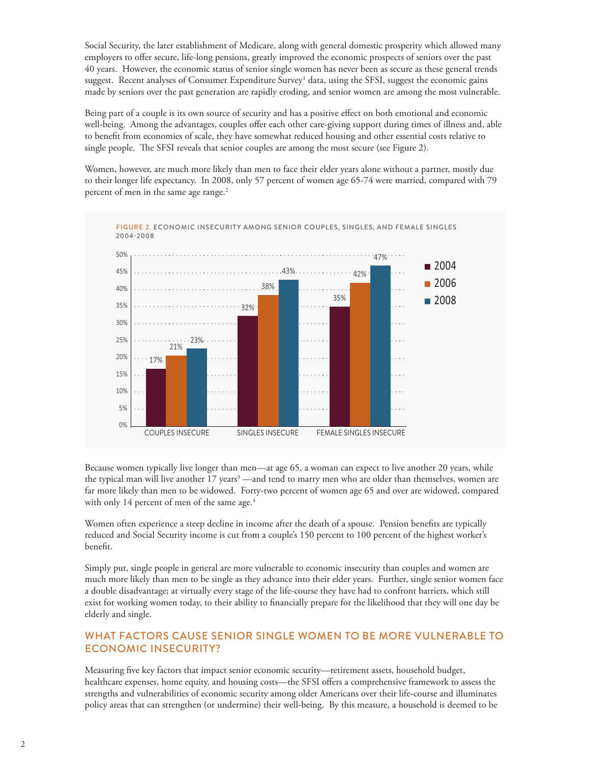Social Security, the later establishment of Medicare, along with general domestic prosperity which allowed many employers to offer secure, life-long pensions, greatly improved the economic prospects of seniors over the past 40 years. However, the economic status of senior single women has never been as secure as these general trends suggest. Recent analyses of Consumer Expenditure Survey<sup>1</sup> data, using the SFSI, suggest the economic gains made by seniors over the past generation are rapidly eroding, and senior women are among the most vulnerable.

Being part of a couple is its own source of security and has a positive effect on both emotional and economic well-being. Among the advantages, couples offer each other care-giving support during times of illness and, able to benefit from economies of scale, they have somewhat reduced housing and other essential costs relative to single people. The SFSI reveals that senior couples are among the most secure (see Figure 2).

Women, however, are much more likely than men to face their elder years alone without a partner, mostly due to their longer life expectancy. In 2008, only 57 percent of women age 65-74 were married, compared with 79 percent of men in the same age range.<sup>2</sup>



Because women typically live longer than men—at age 65, a woman can expect to live another 20 years, while the typical man will live another 17 years<sup>3</sup>—and tend to marry men who are older than themselves, women are far more likely than men to be widowed. Forty-two percent of women age 65 and over are widowed, compared with only 14 percent of men of the same age.<sup>4</sup>

Women often experience a steep decline in income after the death of a spouse. Pension benefits are typically reduced and Social Security income is cut from a couple's 150 percent to 100 percent of the highest worker's benefit.

Simply put, single people in general are more vulnerable to economic insecurity than couples and women are much more likely than men to be single as they advance into their elder years. Further, single senior women face a double disadvantage; at virtually every stage of the life-course they have had to confront barriers, which still exist for working women today, to their ability to financially prepare for the likelihood that they will one day be elderly and single.

# WHAT FACTORS CAUSE SENIOR SINGLE WOMEN TO BE MORE VULNERABLE TO ECONOMIC INSECURITY?

Measuring five key factors that impact senior economic security—retirement assets, household budget, healthcare expenses, home equity, and housing costs—the SFSI offers a comprehensive framework to assess the strengths and vulnerabilities of economic security among older Americans over their life-course and illuminates policy areas that can strengthen (or undermine) their well-being. By this measure, a household is deemed to be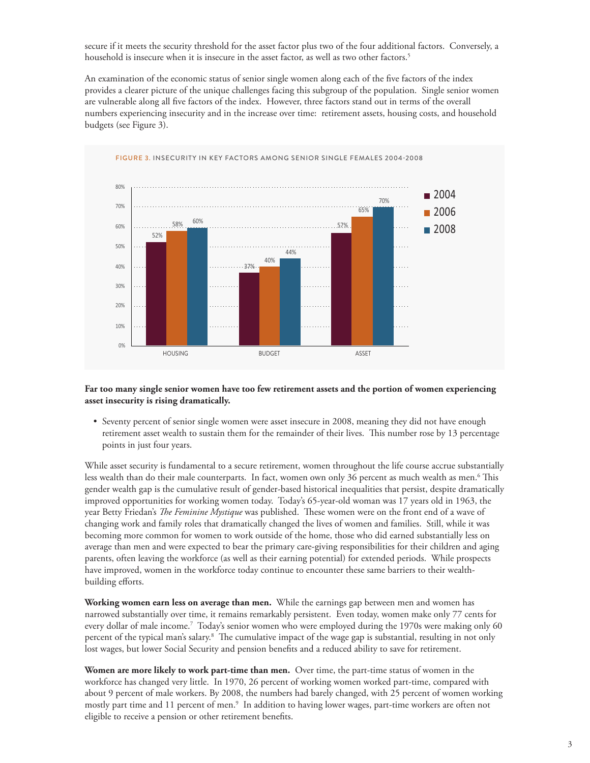secure if it meets the security threshold for the asset factor plus two of the four additional factors. Conversely, a household is insecure when it is insecure in the asset factor, as well as two other factors.5

An examination of the economic status of senior single women along each of the five factors of the index provides a clearer picture of the unique challenges facing this subgroup of the population. Single senior women are vulnerable along all five factors of the index. However, three factors stand out in terms of the overall numbers experiencing insecurity and in the increase over time: retirement assets, housing costs, and household budgets (see Figure 3).



### **Far too many single senior women have too few retirement assets and the portion of women experiencing asset insecurity is rising dramatically.**

• Seventy percent of senior single women were asset insecure in 2008, meaning they did not have enough retirement asset wealth to sustain them for the remainder of their lives. This number rose by 13 percentage points in just four years.

While asset security is fundamental to a secure retirement, women throughout the life course accrue substantially less wealth than do their male counterparts. In fact, women own only 36 percent as much wealth as men.<sup>6</sup> This gender wealth gap is the cumulative result of gender-based historical inequalities that persist, despite dramatically improved opportunities for working women today. Today's 65-year-old woman was 17 years old in 1963, the year Betty Friedan's *The Feminine Mystique* was published. These women were on the front end of a wave of changing work and family roles that dramatically changed the lives of women and families. Still, while it was becoming more common for women to work outside of the home, those who did earned substantially less on average than men and were expected to bear the primary care-giving responsibilities for their children and aging parents, often leaving the workforce (as well as their earning potential) for extended periods. While prospects have improved, women in the workforce today continue to encounter these same barriers to their wealthbuilding efforts.

**Working women earn less on average than men.** While the earnings gap between men and women has narrowed substantially over time, it remains remarkably persistent. Even today, women make only 77 cents for every dollar of male income.7 Today's senior women who were employed during the 1970s were making only 60 percent of the typical man's salary.<sup>8</sup> The cumulative impact of the wage gap is substantial, resulting in not only lost wages, but lower Social Security and pension benefits and a reduced ability to save for retirement.

**Women are more likely to work part-time than men.** Over time, the part-time status of women in the workforce has changed very little. In 1970, 26 percent of working women worked part-time, compared with about 9 percent of male workers. By 2008, the numbers had barely changed, with 25 percent of women working mostly part time and 11 percent of men.<sup>9</sup> In addition to having lower wages, part-time workers are often not eligible to receive a pension or other retirement benefits.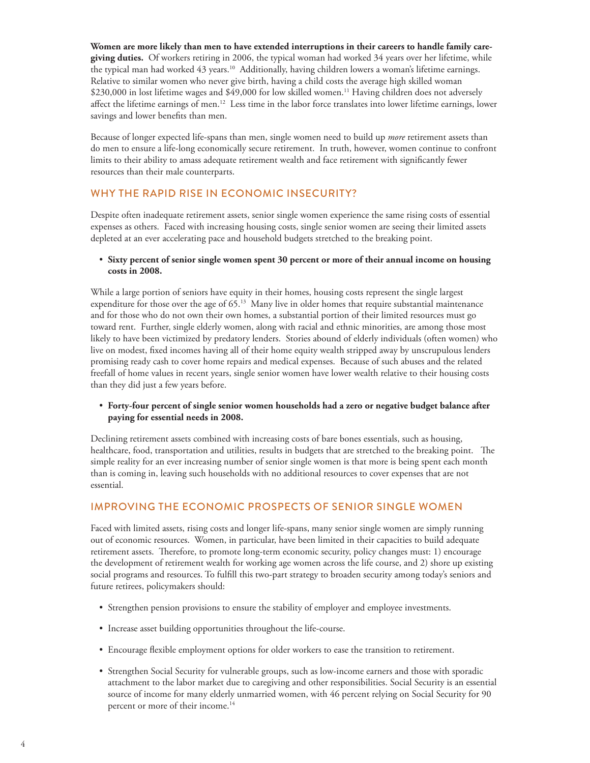**Women are more likely than men to have extended interruptions in their careers to handle family caregiving duties.** Of workers retiring in 2006, the typical woman had worked 34 years over her lifetime, while the typical man had worked 43 years.10 Additionally, having children lowers a woman's lifetime earnings. Relative to similar women who never give birth, having a child costs the average high skilled woman \$230,000 in lost lifetime wages and \$49,000 for low skilled women.<sup>11</sup> Having children does not adversely affect the lifetime earnings of men.<sup>12</sup> Less time in the labor force translates into lower lifetime earnings, lower savings and lower benefits than men.

Because of longer expected life-spans than men, single women need to build up *more* retirement assets than do men to ensure a life-long economically secure retirement. In truth, however, women continue to confront limits to their ability to amass adequate retirement wealth and face retirement with significantly fewer resources than their male counterparts.

# WHY THE RAPID RISE IN ECONOMIC INSECURITY?

Despite often inadequate retirement assets, senior single women experience the same rising costs of essential expenses as others. Faced with increasing housing costs, single senior women are seeing their limited assets depleted at an ever accelerating pace and household budgets stretched to the breaking point.

# • **Sixty percent of senior single women spent 30 percent or more of their annual income on housing costs in 2008.**

While a large portion of seniors have equity in their homes, housing costs represent the single largest expenditure for those over the age of 65.<sup>13</sup> Many live in older homes that require substantial maintenance and for those who do not own their own homes, a substantial portion of their limited resources must go toward rent. Further, single elderly women, along with racial and ethnic minorities, are among those most likely to have been victimized by predatory lenders. Stories abound of elderly individuals (often women) who live on modest, fixed incomes having all of their home equity wealth stripped away by unscrupulous lenders promising ready cash to cover home repairs and medical expenses. Because of such abuses and the related freefall of home values in recent years, single senior women have lower wealth relative to their housing costs than they did just a few years before.

# • **Forty-four percent of single senior women households had a zero or negative budget balance after paying for essential needs in 2008.**

Declining retirement assets combined with increasing costs of bare bones essentials, such as housing, healthcare, food, transportation and utilities, results in budgets that are stretched to the breaking point. The simple reality for an ever increasing number of senior single women is that more is being spent each month than is coming in, leaving such households with no additional resources to cover expenses that are not essential.

# IMPROVING THE ECONOMIC PROSPECTS OF SENIOR SINGLE WOMEN

Faced with limited assets, rising costs and longer life-spans, many senior single women are simply running out of economic resources. Women, in particular, have been limited in their capacities to build adequate retirement assets. Therefore, to promote long-term economic security, policy changes must: 1) encourage the development of retirement wealth for working age women across the life course, and 2) shore up existing social programs and resources. To fulfill this two-part strategy to broaden security among today's seniors and future retirees, policymakers should:

- • Strengthen pension provisions to ensure the stability of employer and employee investments.
- Increase asset building opportunities throughout the life-course.
- • Encourage flexible employment options for older workers to ease the transition to retirement.
- • Strengthen Social Security for vulnerable groups, such as low-income earners and those with sporadic attachment to the labor market due to caregiving and other responsibilities. Social Security is an essential source of income for many elderly unmarried women, with 46 percent relying on Social Security for 90 percent or more of their income.<sup>14</sup>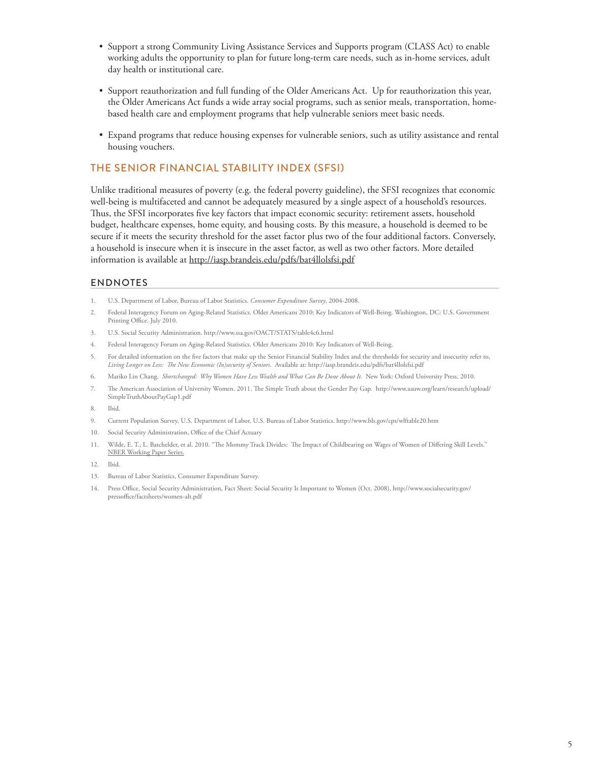- • Support a strong Community Living Assistance Services and Supports program (CLASS Act) to enable working adults the opportunity to plan for future long-term care needs, such as in-home services, adult day health or institutional care.
- • Support reauthorization and full funding of the Older Americans Act. Up for reauthorization this year, the Older Americans Act funds a wide array social programs, such as senior meals, transportation, homebased health care and employment programs that help vulnerable seniors meet basic needs.
- • Expand programs that reduce housing expenses for vulnerable seniors, such as utility assistance and rental housing vouchers.

# THE SENIOR FINANCIAL STABILITY INDEX (SFSI)

Unlike traditional measures of poverty (e.g. the federal poverty guideline), the SFSI recognizes that economic well-being is multifaceted and cannot be adequately measured by a single aspect of a household's resources. Thus, the SFSI incorporates five key factors that impact economic security: retirement assets, household budget, healthcare expenses, home equity, and housing costs. By this measure, a household is deemed to be secure if it meets the security threshold for the asset factor plus two of the four additional factors. Conversely, a household is insecure when it is insecure in the asset factor, as well as two other factors. More detailed information is available at http://iasp.brandeis.edu/pdfs/bat4llolsfsi.pdf

# ENDNOTES

- 1. U.S. Department of Labor, Bureau of Labor Statistics. *Consumer Expenditure Survey*, 2004-2008.
- 2. Federal Interagency Forum on Aging-Related Statistics. Older Americans 2010: Key Indicators of Well-Being. Washington, DC: U.S. Government Printing Office. July 2010.
- 3. U.S. Social Security Administration. http://www.ssa.gov/OACT/STATS/table4c6.html
- 4. Federal Interagency Forum on Aging-Related Statistics. Older Americans 2010: Key Indicators of Well-Being.
- 5. For detailed information on the five factors that make up the Senior Financial Stability Index and the thresholds for security and insecurity refer to, *Living Longer on Less: The New Economic (In)security of Seniors*. Available at: http://iasp.brandeis.edu/pdfs/bat4llolsfsi.pdf
- 6. Mariko Lin Chang. *Shortchanged: Why Women Have Less Wealth and What Can Be Done About It.* New York: Oxford University Press, 2010.
- 7. The American Association of University Women. 2011. The Simple Truth about the Gender Pay Gap. http://www.aauw.org/learn/research/upload/ SimpleTruthAboutPayGap1.pdf
- 8. Ibid.
- 9. Current Population Survey, U.S. Department of Labor, U.S. Bureau of Labor Statistics. http://www.bls.gov/cps/wlftable20.htm
- 10. Social Security Administration, Office of the Chief Actuary
- 11. Wilde, E. T., L. Batchelder, et al. 2010. "The Mommy Track Divides: The Impact of Childbearing on Wages of Women of Differing Skill Levels." NBER Working Paper Series.
- 12. Ibid.
- 13. Bureau of Labor Statistics, Consumer Expenditure Survey.
- 14. Press Office, Social Security Administration, Fact Sheet: Social Security Is Important to Women (Oct. 2008), http://www.socialsecurity.gov/ pressoffice/factsheets/women-alt.pdf